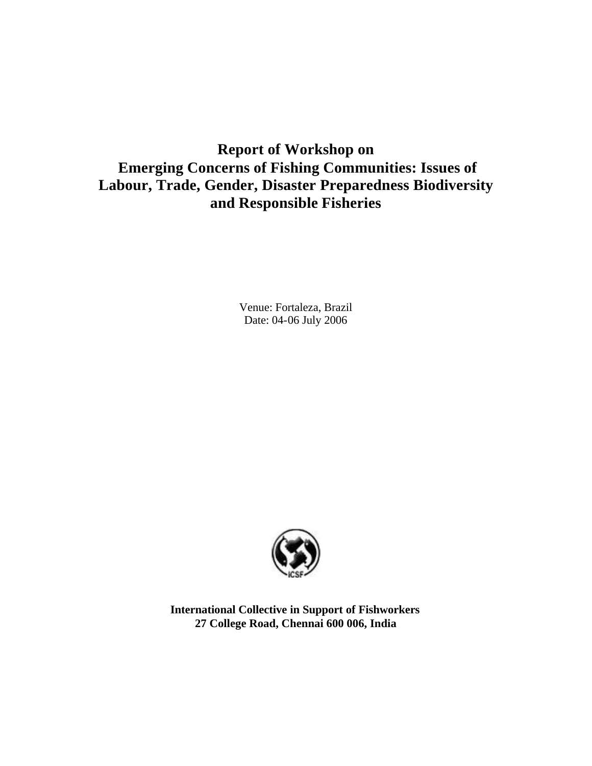# **Report of Workshop on Emerging Concerns of Fishing Communities: Issues of Labour, Trade, Gender, Disaster Preparedness Biodiversity and Responsible Fisheries**

Venue: Fortaleza, Brazil Date: 04-06 July 2006



**International Collective in Support of Fishworkers 27 College Road, Chennai 600 006, India**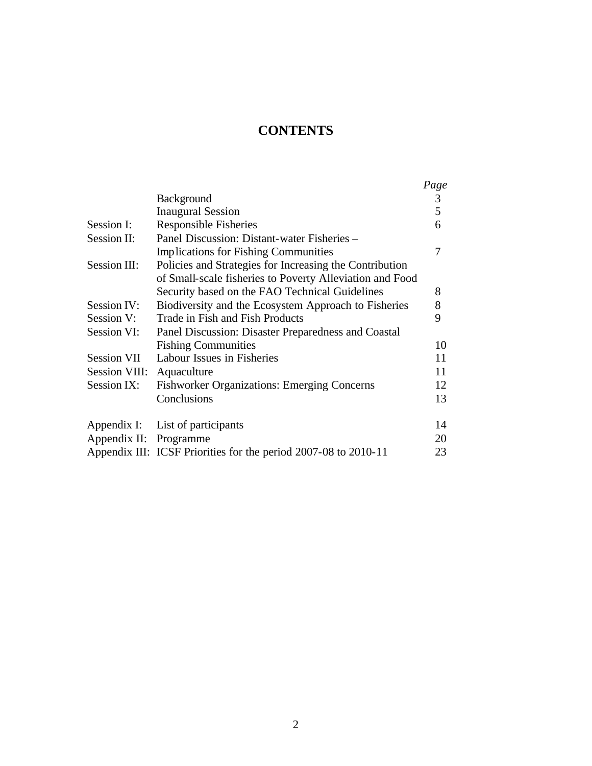# **CONTENTS**

|                        |                                                                 | Page |
|------------------------|-----------------------------------------------------------------|------|
|                        | Background                                                      | 3    |
|                        | <b>Inaugural Session</b>                                        | 5    |
| Session I:             | Responsible Fisheries                                           | 6    |
| Session II:            | Panel Discussion: Distant-water Fisheries –                     |      |
|                        | <b>Implications for Fishing Communities</b>                     | 7    |
| Session III:           | Policies and Strategies for Increasing the Contribution         |      |
|                        | of Small-scale fisheries to Poverty Alleviation and Food        |      |
|                        | Security based on the FAO Technical Guidelines                  | 8    |
| Session IV:            | Biodiversity and the Ecosystem Approach to Fisheries            | 8    |
| Session V:             | Trade in Fish and Fish Products                                 | 9    |
| Session VI:            | Panel Discussion: Disaster Preparedness and Coastal             |      |
|                        | <b>Fishing Communities</b>                                      | 10   |
| Session VII            | Labour Issues in Fisheries                                      | 11   |
| Session VIII:          | Aquaculture                                                     | 11   |
| Session IX:            | <b>Fishworker Organizations: Emerging Concerns</b>              | 12   |
|                        | Conclusions                                                     | 13   |
|                        | Appendix I: List of participants                                | 14   |
| Appendix II: Programme |                                                                 | 20   |
|                        | Appendix III: ICSF Priorities for the period 2007-08 to 2010-11 | 23   |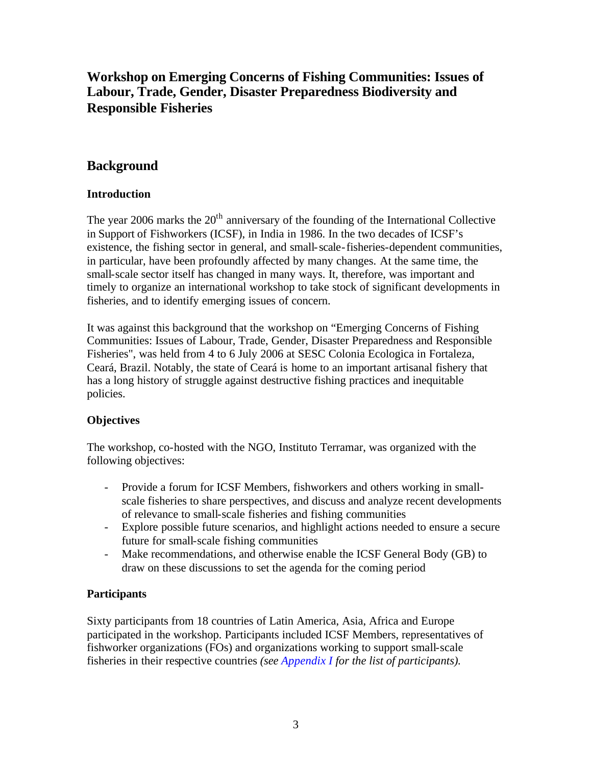# **Workshop on Emerging Concerns of Fishing Communities: Issues of Labour, Trade, Gender, Disaster Preparedness Biodiversity and Responsible Fisheries**

# **Background**

## **Introduction**

The year 2006 marks the  $20<sup>th</sup>$  anniversary of the founding of the International Collective in Support of Fishworkers (ICSF), in India in 1986. In the two decades of ICSF's existence, the fishing sector in general, and small-scale-fisheries-dependent communities, in particular, have been profoundly affected by many changes. At the same time, the small-scale sector itself has changed in many ways. It, therefore, was important and timely to organize an international workshop to take stock of significant developments in fisheries, and to identify emerging issues of concern.

It was against this background that the workshop on "Emerging Concerns of Fishing Communities: Issues of Labour, Trade, Gender, Disaster Preparedness and Responsible Fisheries", was held from 4 to 6 July 2006 at SESC Colonia Ecologica in Fortaleza, Ceará, Brazil. Notably, the state of Ceará is home to an important artisanal fishery that has a long history of struggle against destructive fishing practices and inequitable policies.

# **Objectives**

The workshop, co-hosted with the NGO, Instituto Terramar, was organized with the following objectives:

- Provide a forum for ICSF Members, fishworkers and others working in smallscale fisheries to share perspectives, and discuss and analyze recent developments of relevance to small-scale fisheries and fishing communities
- Explore possible future scenarios, and highlight actions needed to ensure a secure future for small-scale fishing communities
- Make recommendations, and otherwise enable the ICSF General Body (GB) to draw on these discussions to set the agenda for the coming period

# **Participants**

Sixty participants from 18 countries of Latin America, Asia, Africa and Europe participated in the workshop. Participants included ICSF Members, representatives of fishworker organizations (FOs) and organizations working to support small-scale fisheries in their respective countries *(see Appendix I for the list of participants).*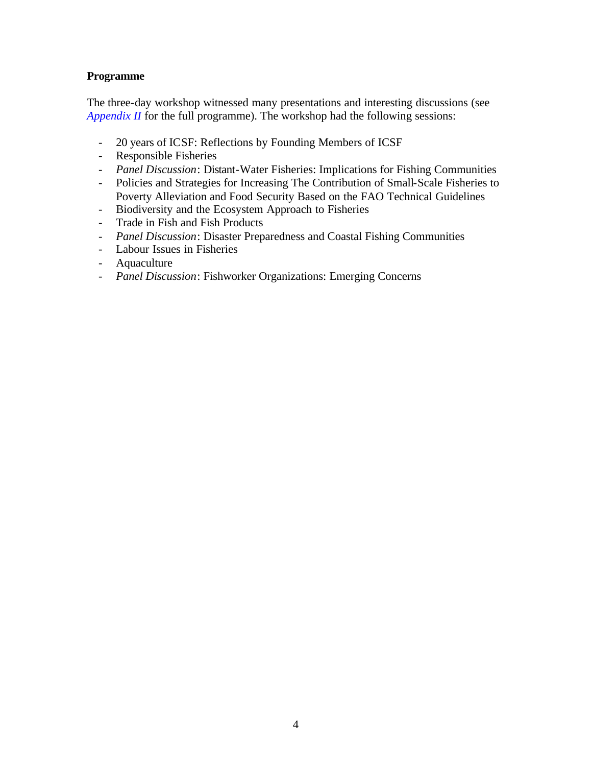## **Programme**

The three-day workshop witnessed many presentations and interesting discussions (see *Appendix II* for the full programme). The workshop had the following sessions:

- 20 years of ICSF: Reflections by Founding Members of ICSF
- Responsible Fisheries
- *Panel Discussion*: Distant-Water Fisheries: Implications for Fishing Communities
- Policies and Strategies for Increasing The Contribution of Small-Scale Fisheries to Poverty Alleviation and Food Security Based on the FAO Technical Guidelines
- Biodiversity and the Ecosystem Approach to Fisheries
- Trade in Fish and Fish Products
- *Panel Discussion*: Disaster Preparedness and Coastal Fishing Communities
- Labour Issues in Fisheries
- Aquaculture
- *Panel Discussion*: Fishworker Organizations: Emerging Concerns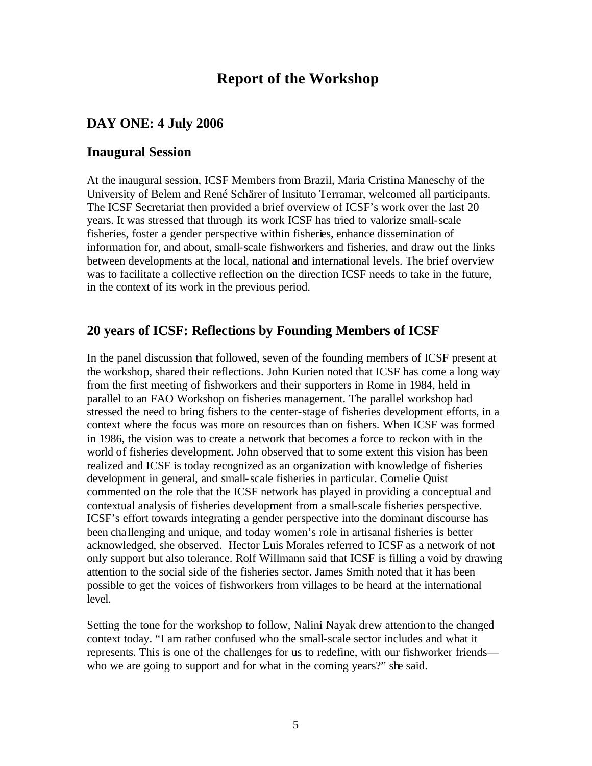# **Report of the Workshop**

## **DAY ONE: 4 July 2006**

## **Inaugural Session**

At the inaugural session, ICSF Members from Brazil, Maria Cristina Maneschy of the University of Belem and René Schärer of Insituto Terramar, welcomed all participants. The ICSF Secretariat then provided a brief overview of ICSF's work over the last 20 years. It was stressed that through its work ICSF has tried to valorize small-scale fisheries, foster a gender perspective within fisheries, enhance dissemination of information for, and about, small-scale fishworkers and fisheries, and draw out the links between developments at the local, national and international levels. The brief overview was to facilitate a collective reflection on the direction ICSF needs to take in the future, in the context of its work in the previous period.

## **20 years of ICSF: Reflections by Founding Members of ICSF**

In the panel discussion that followed, seven of the founding members of ICSF present at the workshop, shared their reflections. John Kurien noted that ICSF has come a long way from the first meeting of fishworkers and their supporters in Rome in 1984, held in parallel to an FAO Workshop on fisheries management. The parallel workshop had stressed the need to bring fishers to the center-stage of fisheries development efforts, in a context where the focus was more on resources than on fishers. When ICSF was formed in 1986, the vision was to create a network that becomes a force to reckon with in the world of fisheries development. John observed that to some extent this vision has been realized and ICSF is today recognized as an organization with knowledge of fisheries development in general, and small-scale fisheries in particular. Cornelie Quist commented on the role that the ICSF network has played in providing a conceptual and contextual analysis of fisheries development from a small-scale fisheries perspective. ICSF's effort towards integrating a gender perspective into the dominant discourse has been challenging and unique, and today women's role in artisanal fisheries is better acknowledged, she observed. Hector Luis Morales referred to ICSF as a network of not only support but also tolerance. Rolf Willmann said that ICSF is filling a void by drawing attention to the social side of the fisheries sector. James Smith noted that it has been possible to get the voices of fishworkers from villages to be heard at the international level.

Setting the tone for the workshop to follow, Nalini Nayak drew attention to the changed context today. "I am rather confused who the small-scale sector includes and what it represents. This is one of the challenges for us to redefine, with our fishworker friends who we are going to support and for what in the coming years?" she said.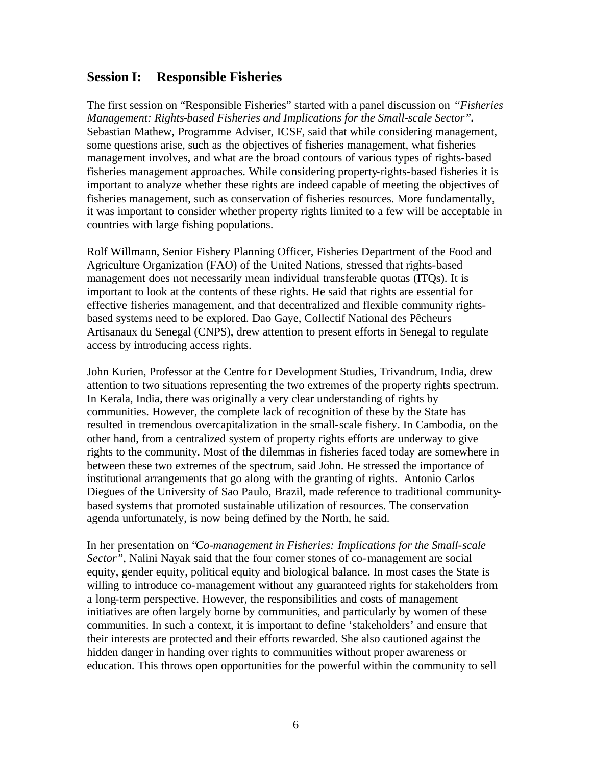## **Session I: Responsible Fisheries**

The first session on "Responsible Fisheries" started with a panel discussion on *"Fisheries Management: Rights-based Fisheries and Implications for the Small-scale Sector".*  Sebastian Mathew, Programme Adviser, ICSF, said that while considering management, some questions arise, such as the objectives of fisheries management, what fisheries management involves, and what are the broad contours of various types of rights-based fisheries management approaches. While considering property-rights-based fisheries it is important to analyze whether these rights are indeed capable of meeting the objectives of fisheries management, such as conservation of fisheries resources. More fundamentally, it was important to consider whether property rights limited to a few will be acceptable in countries with large fishing populations.

Rolf Willmann, Senior Fishery Planning Officer, Fisheries Department of the Food and Agriculture Organization (FAO) of the United Nations, stressed that rights-based management does not necessarily mean individual transferable quotas (ITQs). It is important to look at the contents of these rights. He said that rights are essential for effective fisheries management, and that decentralized and flexible community rightsbased systems need to be explored. Dao Gaye, Collectif National des Pêcheurs Artisanaux du Senegal (CNPS), drew attention to present efforts in Senegal to regulate access by introducing access rights.

John Kurien, Professor at the Centre for Development Studies, Trivandrum, India, drew attention to two situations representing the two extremes of the property rights spectrum. In Kerala, India, there was originally a very clear understanding of rights by communities. However, the complete lack of recognition of these by the State has resulted in tremendous overcapitalization in the small-scale fishery. In Cambodia, on the other hand, from a centralized system of property rights efforts are underway to give rights to the community. Most of the dilemmas in fisheries faced today are somewhere in between these two extremes of the spectrum, said John. He stressed the importance of institutional arrangements that go along with the granting of rights. Antonio Carlos Diegues of the University of Sao Paulo, Brazil, made reference to traditional communitybased systems that promoted sustainable utilization of resources. The conservation agenda unfortunately, is now being defined by the North, he said.

In her presentation on "*Co-management in Fisheries: Implications for the Small-scale Sector"*, Nalini Nayak said that the four corner stones of co-management are social equity, gender equity, political equity and biological balance. In most cases the State is willing to introduce co-management without any guaranteed rights for stakeholders from a long-term perspective. However, the responsibilities and costs of management initiatives are often largely borne by communities, and particularly by women of these communities. In such a context, it is important to define 'stakeholders' and ensure that their interests are protected and their efforts rewarded. She also cautioned against the hidden danger in handing over rights to communities without proper awareness or education. This throws open opportunities for the powerful within the community to sell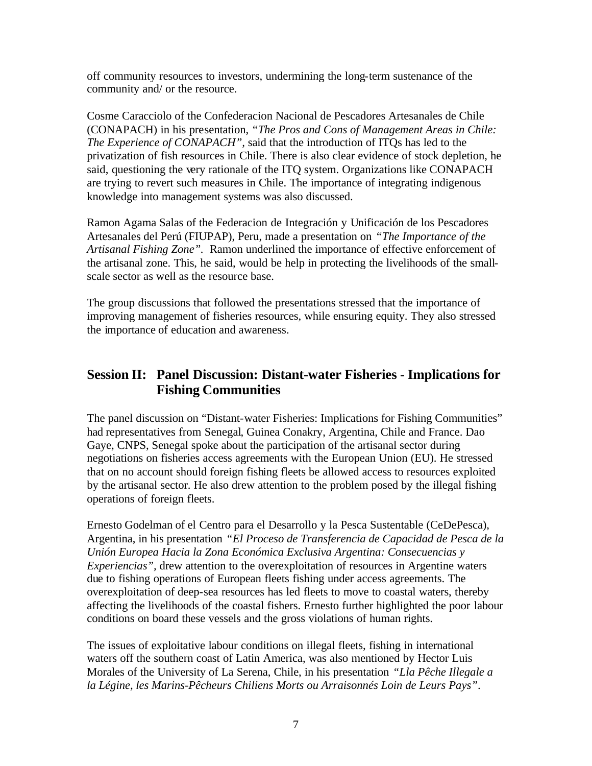off community resources to investors, undermining the long-term sustenance of the community and/ or the resource.

Cosme Caracciolo of the Confederacion Nacional de Pescadores Artesanales de Chile (CONAPACH) in his presentation, *"The Pros and Cons of Management Areas in Chile: The Experience of CONAPACH",* said that the introduction of ITQs has led to the privatization of fish resources in Chile. There is also clear evidence of stock depletion, he said, questioning the very rationale of the ITQ system. Organizations like CONAPACH are trying to revert such measures in Chile. The importance of integrating indigenous knowledge into management systems was also discussed.

Ramon Agama Salas of the Federacion de Integración y Unificación de los Pescadores Artesanales del Perú (FIUPAP), Peru, made a presentation on *"The Importance of the Artisanal Fishing Zone".* Ramon underlined the importance of effective enforcement of the artisanal zone. This, he said, would be help in protecting the livelihoods of the smallscale sector as well as the resource base.

The group discussions that followed the presentations stressed that the importance of improving management of fisheries resources, while ensuring equity. They also stressed the importance of education and awareness.

# **Session II: Panel Discussion: Distant-water Fisheries - Implications for Fishing Communities**

The panel discussion on "Distant-water Fisheries: Implications for Fishing Communities" had representatives from Senegal, Guinea Conakry, Argentina, Chile and France. Dao Gaye, CNPS, Senegal spoke about the participation of the artisanal sector during negotiations on fisheries access agreements with the European Union (EU). He stressed that on no account should foreign fishing fleets be allowed access to resources exploited by the artisanal sector. He also drew attention to the problem posed by the illegal fishing operations of foreign fleets.

Ernesto Godelman of el Centro para el Desarrollo y la Pesca Sustentable (CeDePesca), Argentina, in his presentation *"El Proceso de Transferencia de Capacidad de Pesca de la Unión Europea Hacia la Zona Económica Exclusiva Argentina: Consecuencias y Experiencias",* drew attention to the overexploitation of resources in Argentine waters due to fishing operations of European fleets fishing under access agreements. The overexploitation of deep-sea resources has led fleets to move to coastal waters, thereby affecting the livelihoods of the coastal fishers. Ernesto further highlighted the poor labour conditions on board these vessels and the gross violations of human rights.

The issues of exploitative labour conditions on illegal fleets, fishing in international waters off the southern coast of Latin America, was also mentioned by Hector Luis Morales of the University of La Serena, Chile, in his presentation *"Lla Pêche Illegale a la Légine, les Marins-Pêcheurs Chiliens Morts ou Arraisonnés Loin de Leurs Pays"*.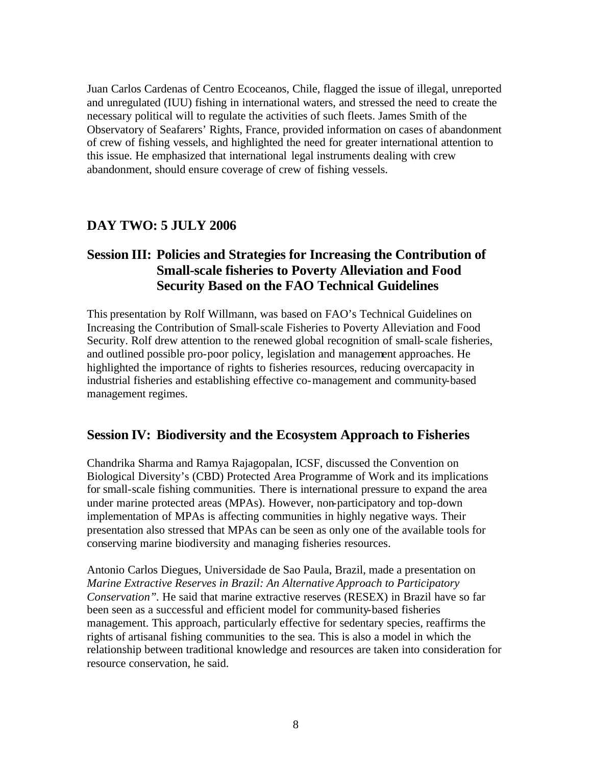Juan Carlos Cardenas of Centro Ecoceanos, Chile, flagged the issue of illegal, unreported and unregulated (IUU) fishing in international waters, and stressed the need to create the necessary political will to regulate the activities of such fleets. James Smith of the Observatory of Seafarers' Rights, France, provided information on cases of abandonment of crew of fishing vessels, and highlighted the need for greater international attention to this issue. He emphasized that international legal instruments dealing with crew abandonment, should ensure coverage of crew of fishing vessels.

## **DAY TWO: 5 JULY 2006**

# **Session III: Policies and Strategies for Increasing the Contribution of Small-scale fisheries to Poverty Alleviation and Food Security Based on the FAO Technical Guidelines**

This presentation by Rolf Willmann, was based on FAO's Technical Guidelines on Increasing the Contribution of Small-scale Fisheries to Poverty Alleviation and Food Security. Rolf drew attention to the renewed global recognition of small-scale fisheries, and outlined possible pro-poor policy, legislation and management approaches. He highlighted the importance of rights to fisheries resources, reducing overcapacity in industrial fisheries and establishing effective co-management and community-based management regimes.

## **Session IV: Biodiversity and the Ecosystem Approach to Fisheries**

Chandrika Sharma and Ramya Rajagopalan, ICSF, discussed the Convention on Biological Diversity's (CBD) Protected Area Programme of Work and its implications for small-scale fishing communities. There is international pressure to expand the area under marine protected areas (MPAs). However, non-participatory and top-down implementation of MPAs is affecting communities in highly negative ways. Their presentation also stressed that MPAs can be seen as only one of the available tools for conserving marine biodiversity and managing fisheries resources.

Antonio Carlos Diegues, Universidade de Sao Paula, Brazil, made a presentation on *Marine Extractive Reserves in Brazil: An Alternative Approach to Participatory Conservation".* He said that marine extractive reserves (RESEX) in Brazil have so far been seen as a successful and efficient model for community-based fisheries management. This approach, particularly effective for sedentary species, reaffirms the rights of artisanal fishing communities to the sea. This is also a model in which the relationship between traditional knowledge and resources are taken into consideration for resource conservation, he said.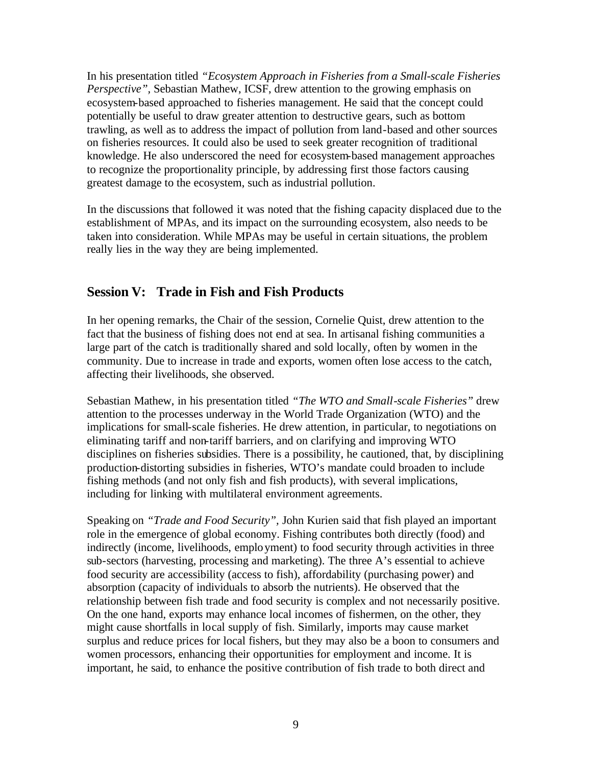In his presentation titled *"Ecosystem Approach in Fisheries from a Small-scale Fisheries Perspective",* Sebastian Mathew, ICSF, drew attention to the growing emphasis on ecosystem-based approached to fisheries management. He said that the concept could potentially be useful to draw greater attention to destructive gears, such as bottom trawling, as well as to address the impact of pollution from land-based and other sources on fisheries resources. It could also be used to seek greater recognition of traditional knowledge. He also underscored the need for ecosystem-based management approaches to recognize the proportionality principle, by addressing first those factors causing greatest damage to the ecosystem, such as industrial pollution.

In the discussions that followed it was noted that the fishing capacity displaced due to the establishment of MPAs, and its impact on the surrounding ecosystem, also needs to be taken into consideration. While MPAs may be useful in certain situations, the problem really lies in the way they are being implemented.

# **Session V: Trade in Fish and Fish Products**

In her opening remarks, the Chair of the session, Cornelie Quist, drew attention to the fact that the business of fishing does not end at sea. In artisanal fishing communities a large part of the catch is traditionally shared and sold locally, often by women in the community. Due to increase in trade and exports, women often lose access to the catch, affecting their livelihoods, she observed.

Sebastian Mathew, in his presentation titled *"The WTO and Small-scale Fisheries"* drew attention to the processes underway in the World Trade Organization (WTO) and the implications for small-scale fisheries. He drew attention, in particular, to negotiations on eliminating tariff and non-tariff barriers, and on clarifying and improving WTO disciplines on fisheries subsidies. There is a possibility, he cautioned, that, by disciplining production-distorting subsidies in fisheries, WTO's mandate could broaden to include fishing methods (and not only fish and fish products), with several implications, including for linking with multilateral environment agreements.

Speaking on *"Trade and Food Security",* John Kurien said that fish played an important role in the emergence of global economy. Fishing contributes both directly (food) and indirectly (income, livelihoods, employment) to food security through activities in three sub-sectors (harvesting, processing and marketing). The three A's essential to achieve food security are accessibility (access to fish), affordability (purchasing power) and absorption (capacity of individuals to absorb the nutrients). He observed that the relationship between fish trade and food security is complex and not necessarily positive. On the one hand, exports may enhance local incomes of fishermen, on the other, they might cause shortfalls in local supply of fish. Similarly, imports may cause market surplus and reduce prices for local fishers, but they may also be a boon to consumers and women processors, enhancing their opportunities for employment and income. It is important, he said, to enhance the positive contribution of fish trade to both direct and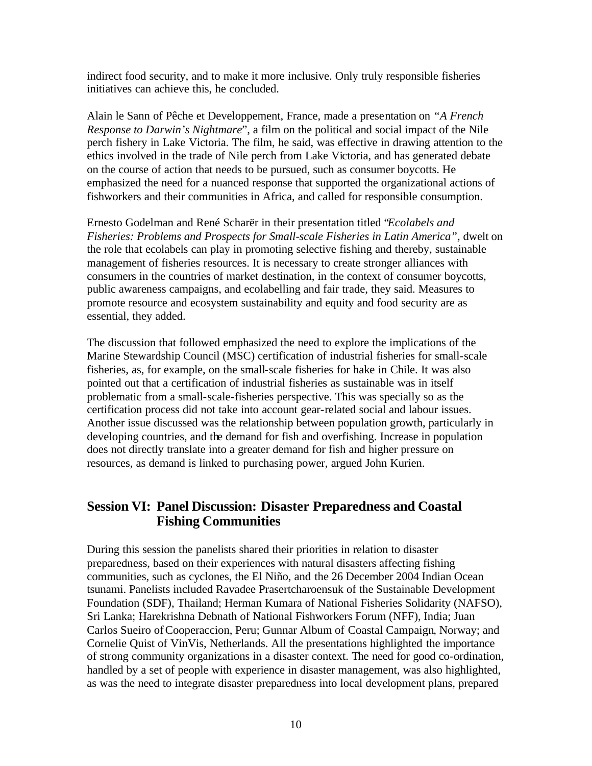indirect food security, and to make it more inclusive. Only truly responsible fisheries initiatives can achieve this, he concluded.

Alain le Sann of Pêche et Developpement, France, made a presentation on *"A French Response to Darwin's Nightmare*", a film on the political and social impact of the Nile perch fishery in Lake Victoria. The film, he said, was effective in drawing attention to the ethics involved in the trade of Nile perch from Lake Victoria, and has generated debate on the course of action that needs to be pursued, such as consumer boycotts. He emphasized the need for a nuanced response that supported the organizational actions of fishworkers and their communities in Africa, and called for responsible consumption.

Ernesto Godelman and René Scharër in their presentation titled "*Ecolabels and Fisheries: Problems and Prospects for Small-scale Fisheries in Latin America", dwelt on* the role that ecolabels can play in promoting selective fishing and thereby, sustainable management of fisheries resources. It is necessary to create stronger alliances with consumers in the countries of market destination, in the context of consumer boycotts, public awareness campaigns, and ecolabelling and fair trade, they said. Measures to promote resource and ecosystem sustainability and equity and food security are as essential, they added.

The discussion that followed emphasized the need to explore the implications of the Marine Stewardship Council (MSC) certification of industrial fisheries for small-scale fisheries, as, for example, on the small-scale fisheries for hake in Chile. It was also pointed out that a certification of industrial fisheries as sustainable was in itself problematic from a small-scale-fisheries perspective. This was specially so as the certification process did not take into account gear-related social and labour issues. Another issue discussed was the relationship between population growth, particularly in developing countries, and the demand for fish and overfishing. Increase in population does not directly translate into a greater demand for fish and higher pressure on resources, as demand is linked to purchasing power, argued John Kurien.

# **Session VI: Panel Discussion: Disaster Preparedness and Coastal Fishing Communities**

During this session the panelists shared their priorities in relation to disaster preparedness, based on their experiences with natural disasters affecting fishing communities, such as cyclones, the El Niño, and the 26 December 2004 Indian Ocean tsunami. Panelists included Ravadee Prasertcharoensuk of the Sustainable Development Foundation (SDF), Thailand; Herman Kumara of National Fisheries Solidarity (NAFSO), Sri Lanka; Harekrishna Debnath of National Fishworkers Forum (NFF), India; Juan Carlos Sueiro ofCooperaccion, Peru; Gunnar Album of Coastal Campaign*,* Norway; and Cornelie Quist of VinVis, Netherlands. All the presentations highlighted the importance of strong community organizations in a disaster context. The need for good co-ordination, handled by a set of people with experience in disaster management, was also highlighted, as was the need to integrate disaster preparedness into local development plans, prepared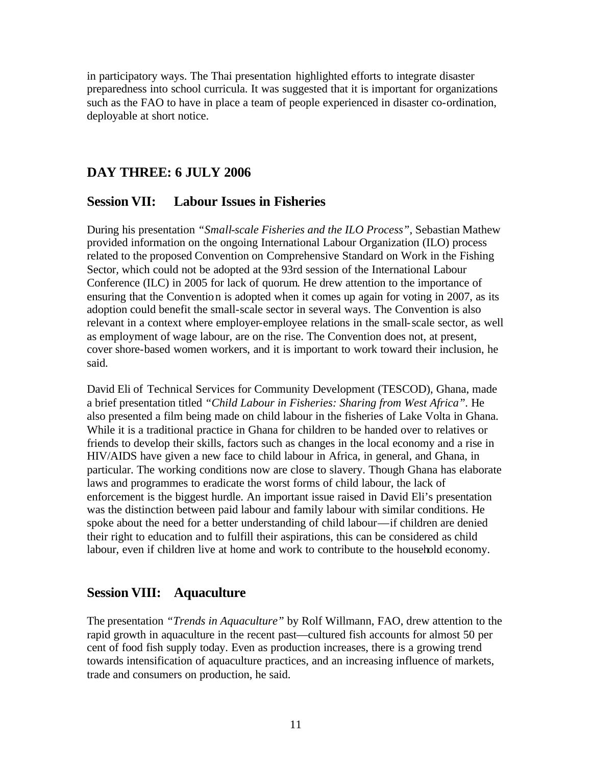in participatory ways. The Thai presentation highlighted efforts to integrate disaster preparedness into school curricula. It was suggested that it is important for organizations such as the FAO to have in place a team of people experienced in disaster co-ordination, deployable at short notice.

# **DAY THREE: 6 JULY 2006**

## **Session VII: Labour Issues in Fisheries**

During his presentation *"Small-scale Fisheries and the ILO Process",* Sebastian Mathew provided information on the ongoing International Labour Organization (ILO) process related to the proposed Convention on Comprehensive Standard on Work in the Fishing Sector*,* which could not be adopted at the 93rd session of the International Labour Conference (ILC) in 2005 for lack of quorum. He drew attention to the importance of ensuring that the Convention is adopted when it comes up again for voting in 2007, as its adoption could benefit the small-scale sector in several ways. The Convention is also relevant in a context where employer-employee relations in the small-scale sector, as well as employment of wage labour, are on the rise. The Convention does not, at present, cover shore-based women workers, and it is important to work toward their inclusion, he said.

David Eli of Technical Services for Community Development (TESCOD), Ghana, made a brief presentation titled *"Child Labour in Fisheries: Sharing from West Africa".* He also presented a film being made on child labour in the fisheries of Lake Volta in Ghana. While it is a traditional practice in Ghana for children to be handed over to relatives or friends to develop their skills, factors such as changes in the local economy and a rise in HIV/AIDS have given a new face to child labour in Africa, in general, and Ghana, in particular. The working conditions now are close to slavery. Though Ghana has elaborate laws and programmes to eradicate the worst forms of child labour, the lack of enforcement is the biggest hurdle. An important issue raised in David Eli's presentation was the distinction between paid labour and family labour with similar conditions. He spoke about the need for a better understanding of child labour—if children are denied their right to education and to fulfill their aspirations, this can be considered as child labour, even if children live at home and work to contribute to the household economy.

## **Session VIII: Aquaculture**

The presentation *"Trends in Aquaculture"* by Rolf Willmann, FAO, drew attention to the rapid growth in aquaculture in the recent past—cultured fish accounts for almost 50 per cent of food fish supply today. Even as production increases, there is a growing trend towards intensification of aquaculture practices, and an increasing influence of markets, trade and consumers on production, he said.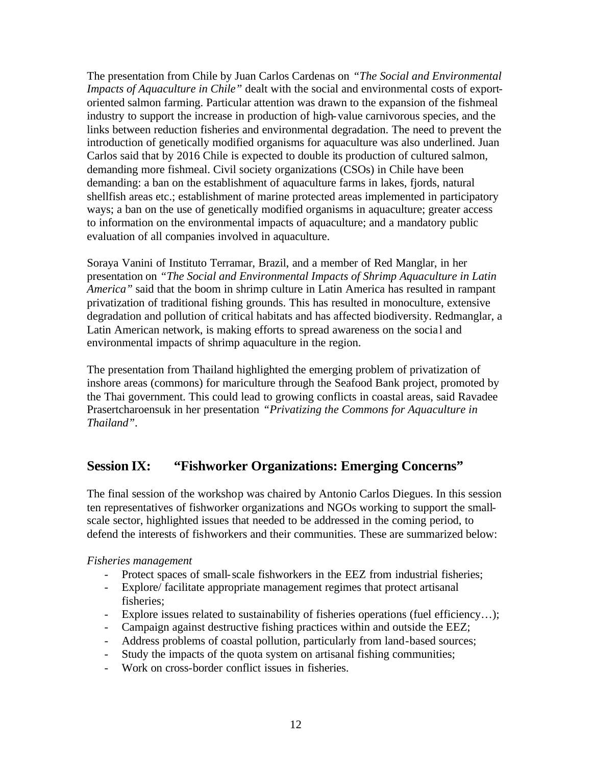The presentation from Chile by Juan Carlos Cardenas on *"The Social and Environmental Impacts of Aquaculture in Chile"* dealt with the social and environmental costs of exportoriented salmon farming. Particular attention was drawn to the expansion of the fishmeal industry to support the increase in production of high-value carnivorous species, and the links between reduction fisheries and environmental degradation. The need to prevent the introduction of genetically modified organisms for aquaculture was also underlined. Juan Carlos said that by 2016 Chile is expected to double its production of cultured salmon, demanding more fishmeal. Civil society organizations (CSOs) in Chile have been demanding: a ban on the establishment of aquaculture farms in lakes, fjords, natural shellfish areas etc.; establishment of marine protected areas implemented in participatory ways; a ban on the use of genetically modified organisms in aquaculture; greater access to information on the environmental impacts of aquaculture; and a mandatory public evaluation of all companies involved in aquaculture.

Soraya Vanini of Instituto Terramar, Brazil, and a member of Red Manglar, in her presentation on *"The Social and Environmental Impacts of Shrimp Aquaculture in Latin America"* said that the boom in shrimp culture in Latin America has resulted in rampant privatization of traditional fishing grounds. This has resulted in monoculture, extensive degradation and pollution of critical habitats and has affected biodiversity. Redmanglar, a Latin American network, is making efforts to spread awareness on the social and environmental impacts of shrimp aquaculture in the region.

The presentation from Thailand highlighted the emerging problem of privatization of inshore areas (commons) for mariculture through the Seafood Bank project, promoted by the Thai government. This could lead to growing conflicts in coastal areas, said Ravadee Prasertcharoensuk in her presentation *"Privatizing the Commons for Aquaculture in Thailand"*.

# **Session IX: "Fishworker Organizations: Emerging Concerns"**

The final session of the workshop was chaired by Antonio Carlos Diegues. In this session ten representatives of fishworker organizations and NGOs working to support the smallscale sector, highlighted issues that needed to be addressed in the coming period, to defend the interests of fishworkers and their communities. These are summarized below:

## *Fisheries management*

- Protect spaces of small-scale fishworkers in the EEZ from industrial fisheries;
- Explore/ facilitate appropriate management regimes that protect artisanal fisheries;
- Explore issues related to sustainability of fisheries operations (fuel efficiency…);
- Campaign against destructive fishing practices within and outside the EEZ;
- Address problems of coastal pollution, particularly from land-based sources;
- Study the impacts of the quota system on artisanal fishing communities;
- Work on cross-border conflict issues in fisheries.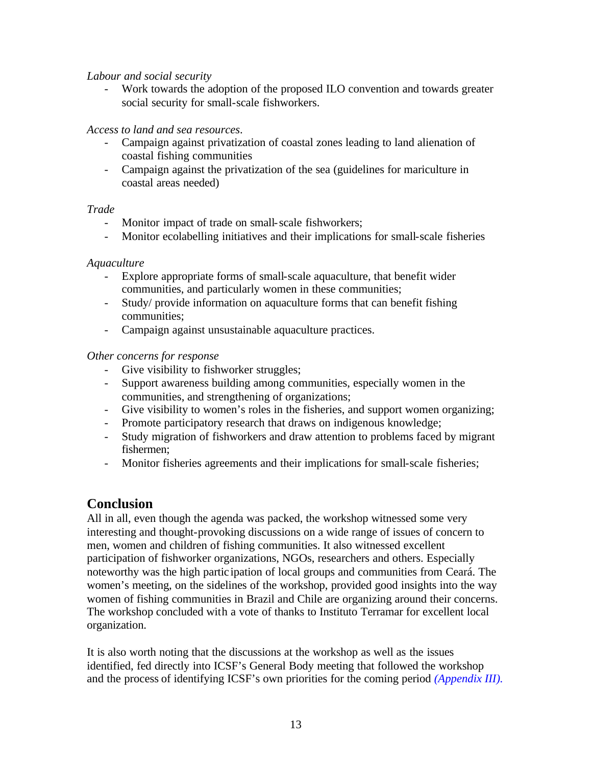## *Labour and social security*

- Work towards the adoption of the proposed ILO convention and towards greater social security for small-scale fishworkers.

## *Access to land and sea resources*.

- Campaign against privatization of coastal zones leading to land alienation of coastal fishing communities
- Campaign against the privatization of the sea (guidelines for mariculture in coastal areas needed)

## *Trade*

- Monitor impact of trade on small-scale fishworkers;
- Monitor ecolabelling initiatives and their implications for small-scale fisheries

## *Aquaculture*

- Explore appropriate forms of small-scale aquaculture, that benefit wider communities, and particularly women in these communities;
- Study/ provide information on aquaculture forms that can benefit fishing communities;
- Campaign against unsustainable aquaculture practices.

## *Other concerns for response*

- Give visibility to fishworker struggles;
- Support awareness building among communities, especially women in the communities, and strengthening of organizations;
- Give visibility to women's roles in the fisheries, and support women organizing;
- Promote participatory research that draws on indigenous knowledge;
- Study migration of fishworkers and draw attention to problems faced by migrant fishermen;
- Monitor fisheries agreements and their implications for small-scale fisheries;

## **Conclusion**

All in all, even though the agenda was packed, the workshop witnessed some very interesting and thought-provoking discussions on a wide range of issues of concern to men, women and children of fishing communities. It also witnessed excellent participation of fishworker organizations, NGOs, researchers and others. Especially noteworthy was the high partic ipation of local groups and communities from Ceará. The women's meeting, on the sidelines of the workshop, provided good insights into the way women of fishing communities in Brazil and Chile are organizing around their concerns. The workshop concluded with a vote of thanks to Instituto Terramar for excellent local organization.

It is also worth noting that the discussions at the workshop as well as the issues identified, fed directly into ICSF's General Body meeting that followed the workshop and the process of identifying ICSF's own priorities for the coming period *(Appendix III).*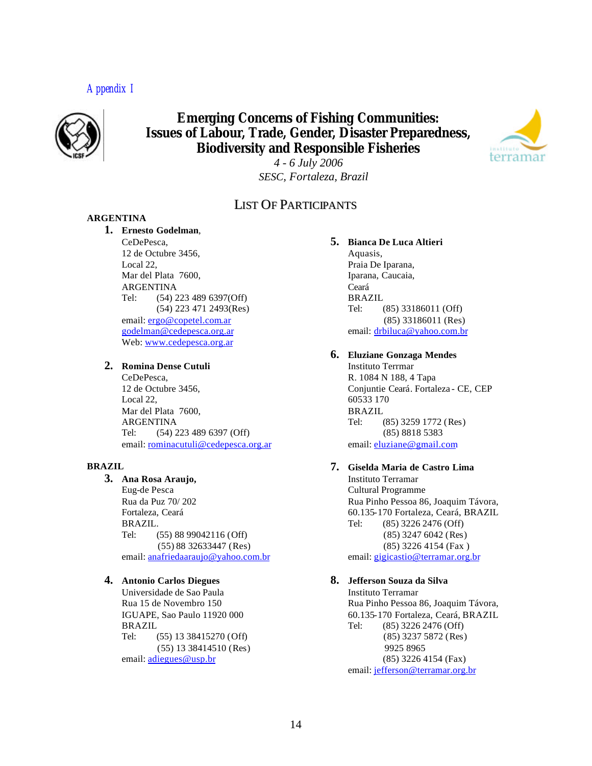## *Appendix I*



# **Emerging Concerns of Fishing Communities: Issues of Labour, Trade, Gender, Disaster Preparedness, Biodiversity and Responsible Fisheries**



*4 - 6 July 2006 SESC, Fortaleza, Brazil*

## LIST OF PARTICIPANTS

#### **ARGENTINA**

#### **1. Ernesto Godelman**,

CeDePesca, 12 de Octubre 3456, Local 22, Mar del Plata 7600, ARGENTINA Tel: (54) 223 489 6397(Off) (54) 223 471 2493(Res) email: ergo@copetel.com.ar godelman@cedepesca.org.ar Web: www.cedepesca.org.ar

#### **2. Romina Dense Cutuli**

CeDePesca, 12 de Octubre 3456, Local 22, Mar del Plata 7600, ARGENTINA Tel: (54) 223 489 6397 (Off) email: rominacutuli@cedepesca.org.ar

#### **BRAZIL**

### **3. Ana Rosa Araujo,**

Eug-de Pesca Rua da Puz 70/ 202 Fortaleza, Ceará BRAZIL. Tel: (55) 88 99042116 (Off) (55) 88 32633447 (Res) email: anafriedaaraujo@yahoo.com.br

#### **4. Antonio Carlos Diegues**

Universidade de Sao Paula Rua 15 de Novembro 150 IGUAPE, Sao Paulo 11920 000 BRAZIL Tel: (55) 13 38415270 (Off) (55) 13 38414510 (Res) email: adiegues@usp.br

#### **5. Bianca De Luca Altieri**

Aquasis, Praia De Iparana, Iparana, Caucaia, Ceará BRAZIL Tel: (85) 33186011 (Off) (85) 33186011 (Res) email: drbiluca@yahoo.com.br

#### **6. Eluziane Gonzaga Mendes**

Instituto Terrmar R. 1084 N 188, 4 Tapa Conjuntie Ceará. Fortaleza - CE, CEP 60533 170 BRAZIL Tel: (85) 3259 1772 (Res) (85) 8818 5383 email: eluziane@gmail.com

### **7. Giselda Maria de Castro Lima**

Instituto Terramar Cultural Programme Rua Pinho Pessoa 86, Joaquim Távora, 60.135-170 Fortaleza, Ceará, BRAZIL Tel: (85) 3226 2476 (Off) (85) 3247 6042 (Res) (85) 3226 4154 (Fax ) email: gigicastio@terramar.org.br

## **8. Jefferson Souza da Silva**

Instituto Terramar Rua Pinho Pessoa 86, Joaquim Távora, 60.135-170 Fortaleza, Ceará, BRAZIL Tel: (85) 3226 2476 (Off) (85) 3237 5872 (Res) 9925 8965 (85) 3226 4154 (Fax) email: jefferson@terramar.org.br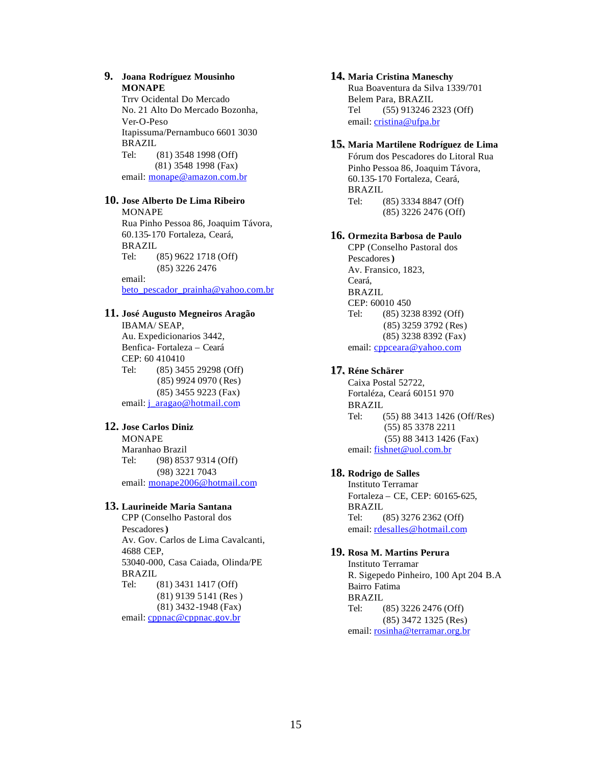#### **9. Joana Rodríguez Mousinho MONAPE**

Trrv Ocidental Do Mercado No. 21 Alto Do Mercado Bozonha, Ver-O-Peso Itapissuma/Pernambuco 6601 3030 BRAZIL Tel: (81) 3548 1998 (Off) (81) 3548 1998 (Fax) email: monape@amazon.com.br

#### **10. Jose Alberto De Lima Ribeiro**

MONAPE Rua Pinho Pessoa 86, Joaquim Távora, 60.135-170 Fortaleza, Ceará, BRAZIL Tel: (85) 9622 1718 (Off) (85) 3226 2476 email: beto\_pescador\_prainha@yahoo.com.br

#### **11. José Augusto Megneiros Aragão**

IBAMA/ SEAP, Au. Expedicionarios 3442, Benfica- Fortaleza – Ceará CEP: 60 410410 Tel: (85) 3455 29298 (Off) (85) 9924 0970 (Res) (85) 3455 9223 (Fax) email: j\_aragao@hotmail.com

#### **12. Jose Carlos Diniz**

MONAPE Maranhao Brazil Tel: (98) 8537 9314 (Off) (98) 3221 7043 email: monape2006@hotmail.com

#### **13. Laurineide Maria Santana**

CPP (Conselho Pastoral dos Pescadores**)** Av. Gov. Carlos de Lima Cavalcanti, 4688 CEP, 53040-000, Casa Caiada, Olinda/PE BRAZIL Tel: (81) 3431 1417 (Off) (81) 9139 5141 (Res ) (81) 3432-1948 (Fax) email: cppnac@cppnac.gov.br

#### **14. Maria Cristina Maneschy**

Rua Boaventura da Silva 1339/701 Belem Para, BRAZIL Tel (55) 913246 2323 (Off) email: cristina@ufpa.br

#### **15. Maria Martilene Rodríguez de Lima**

Fórum dos Pescadores do Litoral Rua Pinho Pessoa 86, Joaquim Távora, 60.135-170 Fortaleza, Ceará, BRAZIL Tel: (85) 3334 8847 (Off) (85) 3226 2476 (Off)

#### **16. Ormezita Barbosa de Paulo**

CPP (Conselho Pastoral dos Pescadores**)** Av. Fransico, 1823, Ceará, BRAZIL CEP: 60010 450 Tel: (85) 3238 8392 (Off) (85) 3259 3792 (Res) (85) 3238 8392 (Fax) email: cppceara@yahoo.com

#### **17. Réne Schärer**

Caixa Postal 52722, Fortaléza, Ceará 60151 970 BRAZIL Tel: (55) 88 3413 1426 (Off/Res) (55) 85 3378 2211 (55) 88 3413 1426 (Fax) email: fishnet@uol.com.br

#### **18. Rodrigo de Salles**

Instituto Terramar Fortaleza – CE, CEP: 60165-625, BRAZIL Tel: (85) 3276 2362 (Off) email: rdesalles@hotmail.com

#### **19. Rosa M. Martins Perura**

Instituto Terramar R. Sigepedo Pinheiro, 100 Apt 204 B.A Bairro Fatima BRAZIL Tel: (85) 3226 2476 (Off) (85) 3472 1325 (Res) email: rosinha@terramar.org.br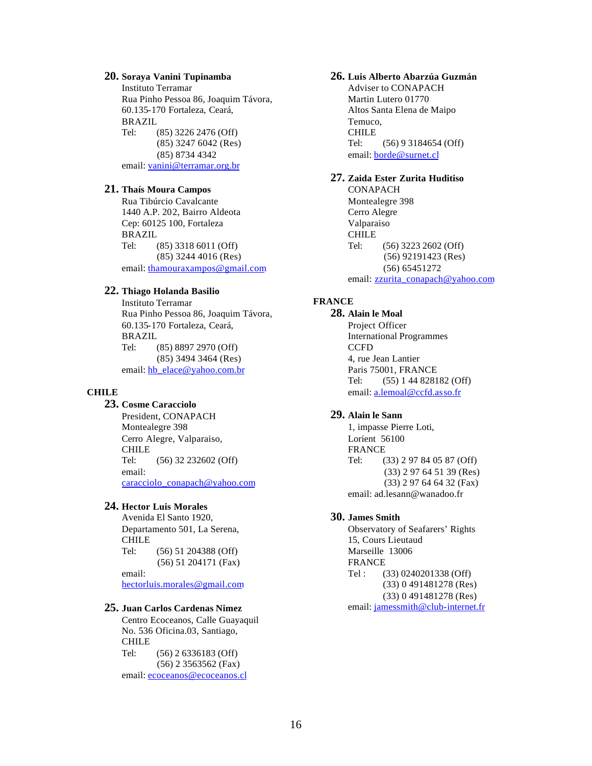#### **20. Soraya Vanini Tupinamba**

Instituto Terramar Rua Pinho Pessoa 86, Joaquim Távora, 60.135-170 Fortaleza, Ceará, BRAZIL Tel: (85) 3226 2476 (Off) (85) 3247 6042 (Res) (85) 8734 4342 email: vanini@terramar.org.br

#### **21. Thaís Moura Campos**

Rua Tibúrcio Cavalcante 1440 A.P. 202, Bairro Aldeota Cep: 60125 100, Fortaleza BRAZIL Tel: (85) 3318 6011 (Off) (85) 3244 4016 (Res) email: thamouraxampos@gmail.com

#### **22. Thiago Holanda Basilio**

Instituto Terramar Rua Pinho Pessoa 86, Joaquim Távora, 60.135-170 Fortaleza, Ceará, BRAZIL Tel: (85) 8897 2970 (Off) (85) 3494 3464 (Res) email: hb\_elace@yahoo.com.br

#### **CHILE**

### **23. Cosme Caracciolo**

President, CONAPACH Montealegre 398 Cerro Alegre, Valparaiso, CHILE Tel: (56) 32 232602 (Off) email: caracciolo\_conapach@yahoo.com

#### **24. Hector Luis Morales**

Avenida El Santo 1920, Departamento 501, La Serena, CHILE Tel: (56) 51 204388 (Off) (56) 51 204171 (Fax) email:

hectorluis.morales@gmail.com

#### **25. Juan Carlos Cardenas Nimez**

Centro Ecoceanos, Calle Guayaquil No. 536 Oficina.03, Santiago, CHILE Tel: (56) 2 6336183 (Off) (56) 2 3563562 (Fax) email: ecoceanos@ecoceanos.cl

#### **26. Luis Alberto Abarzúa Guzmán**

Adviser to CONAPACH Martin Lutero 01770 Altos Santa Elena de Maipo Temuco, CHILE Tel: (56) 9 3184654 (Off) email: **borde@surnet.cl** 

#### **27. Zaida Ester Zurita Huditiso**

CONAPACH Montealegre 398 Cerro Alegre Valparaiso CHILE Tel: (56) 3223 2602 (Off) (56) 92191423 (Res) (56) 65451272 email: zzurita\_conapach@yahoo.com

#### **FRANCE**

**28. Alain le Moal** Project Officer International Programmes **CCFD** 4, rue Jean Lantier Paris 75001, FRANCE Tel: (55) 1 44 828182 (Off) email: a.lemoal@ccfd.asso.fr

#### **29. Alain le Sann**

1, impasse Pierre Loti, Lorient 56100 FRANCE Tel: (33) 2 97 84 05 87 (Off) (33) 2 97 64 51 39 (Res) (33) 2 97 64 64 32 (Fax) email: ad.lesann@wanadoo.fr

#### **30. James Smith**

Observatory of Seafarers' Rights 15, Cours Lieutaud Marseille 13006 FRANCE Tel : (33) 0240201338 (Off) (33) 0 491481278 (Res) (33) 0 491481278 (Res) email: jamessmith@club-internet.fr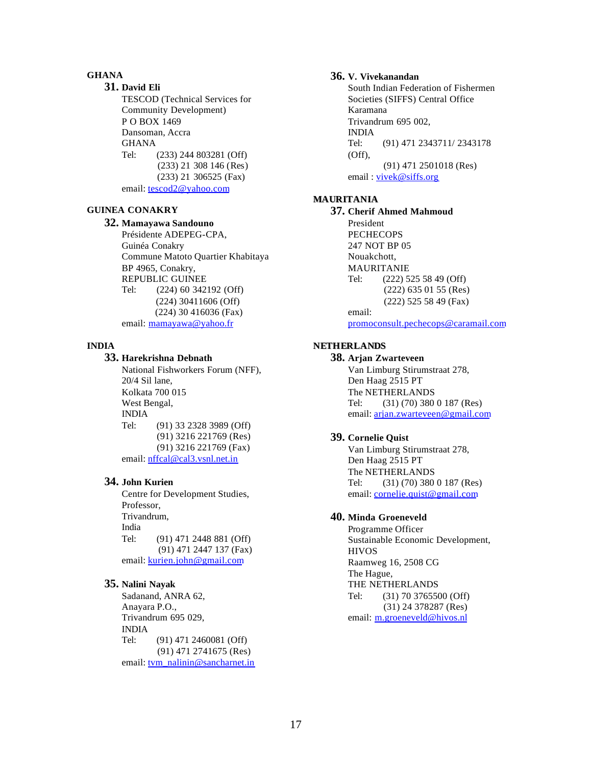#### **GHANA**

**31. David Eli**  TESCOD (Technical Services for Community Development) P O BOX 1469 Dansoman, Accra **GHANA** Tel: (233) 244 803281 (Off) (233) 21 308 146 (Res) (233) 21 306525 (Fax) email: tescod2@yahoo.com

#### **GUINEA CONAKRY**

#### **32. Mamayawa Sandouno**

Présidente ADEPEG-CPA, Guinéa Conakry Commune Matoto Quartier Khabitaya BP 4965, Conakry, REPUBLIC GUINEE Tel: (224) 60 342192 (Off) (224) 30411606 (Off) (224) 30 416036 (Fax) email: mamayawa@yahoo.fr

#### **INDIA**

#### **33. Harekrishna Debnath**

National Fishworkers Forum (NFF), 20/4 Sil lane, Kolkata 700 015 West Bengal, INDIA Tel: (91) 33 2328 3989 (Off) (91) 3216 221769 (Res) (91) 3216 221769 (Fax) email: nffcal@cal3.vsnl.net.in

#### **34. John Kurien**

Centre for Development Studies, Professor, Trivandrum, India Tel: (91) 471 2448 881 (Off) (91) 471 2447 137 (Fax) email: kurien.john@gmail.com

#### **35. Nalini Nayak**

Sadanand, ANRA 62, Anayara P.O., Trivandrum 695 029, INDIA Tel: (91) 471 2460081 (Off) (91) 471 2741675 (Res) email: tvm\_nalinin@sancharnet.in

#### **36. V. Vivekanandan**

South Indian Federation of Fishermen Societies (SIFFS) Central Office Karamana Trivandrum 695 002, INDIA Tel: (91) 471 2343711/ 2343178 (Off), (91) 471 2501018 (Res) email : vivek@siffs.org

#### **MAURITANIA**

**37. Cherif Ahmed Mahmoud** President **PECHECOPS** 247 NOT BP 05 Nouakchott, MAURITANIE Tel: (222) 525 58 49 (Off) (222) 635 01 55 (Res) (222) 525 58 49 (Fax) email: promoconsult.pechecops@caramail.com

### **NETHERLANDS**

#### **38. Arjan Zwarteveen**

Van Limburg Stirumstraat 278, Den Haag 2515 PT The NETHERLANDS Tel: (31) (70) 380 0 187 (Res) email: arjan.zwarteveen@gmail.com

#### **39. Cornelie Quist**

Van Limburg Stirumstraat 278, Den Haag 2515 PT The NETHERLANDS Tel: (31) (70) 380 0 187 (Res) email: cornelie.quist@gmail.com

### **40. Minda Groeneveld**

Programme Officer Sustainable Economic Development, HIVOS Raamweg 16, 2508 CG The Hague, THE NETHERLANDS Tel: (31) 70 3765500 (Off) (31) 24 378287 (Res) email: m.groeneveld@hivos.nl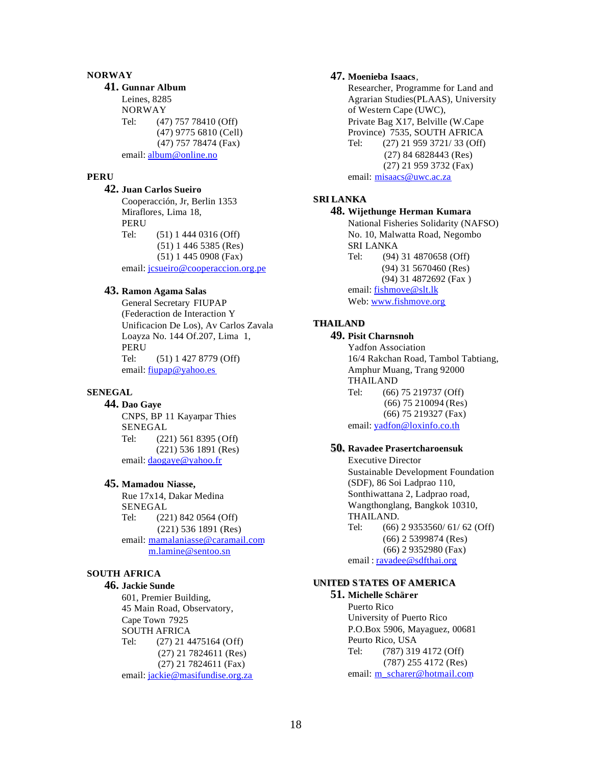#### **NORWAY**

#### **41. Gunnar Album**

Leines, 8285 NORWAY Tel: (47) 757 78410 (Off) (47) 9775 6810 (Cell) (47) 757 78474 (Fax) email: album@online.no

#### **PERU**

**42. Juan Carlos Sueiro** Cooperacción, Jr, Berlin 1353 Miraflores, Lima 18, PERU Tel: (51) 1 444 0316 (Off) (51) 1 446 5385 (Res) (51) 1 445 0908 (Fax) email: jcsueiro@cooperaccion.org.pe

#### **43. Ramon Agama Salas**

General Secretary FIUPAP (Federaction de Interaction Y Unificacion De Los), Av Carlos Zavala Loayza No. 144 Of.207, Lima 1, PERU Tel: (51) 1 427 8779 (Off) email: fiupap@yahoo.es

### **SENEGAL**

**44. Dao Gaye** 

CNPS, BP 11 Kayarpar Thies SENEGAL Tel: (221) 561 8395 (Off) (221) 536 1891 (Res) email: daogaye@yahoo.fr

#### **45. Mamadou Niasse,**

Rue 17x14, Dakar Medina SENEGAL Tel: (221) 842 0564 (Off) (221) 536 1891 (Res) email: mamalaniasse@caramail.com m.lamine@sentoo.sn

#### **SOUTH AFRICA**

#### **46. Jackie Sunde**

601, Premier Building, 45 Main Road, Observatory, Cape Town 7925 SOUTH AFRICA Tel: (27) 21 4475164 (Off) (27) 21 7824611 (Res) (27) 21 7824611 (Fax) email: jackie@masifundise.org.za

#### **47. Moenieba Isaacs**,

Researcher, Programme for Land and Agrarian Studies(PLAAS), University of Western Cape (UWC), Private Bag X17, Belville (W.Cape Province) 7535, SOUTH AFRICA Tel: (27) 21 959 3721/ 33 (Off) (27) 84 6828443 (Res) (27) 21 959 3732 (Fax) email: misaacs@uwc.ac.za

#### **SRI LANKA**

## **48. Wijethunge Herman Kumara**

National Fisheries Solidarity (NAFSO) No. 10, Malwatta Road, Negombo SRI LANKA Tel: (94) 31 4870658 (Off) (94) 31 5670460 (Res) (94) 31 4872692 (Fax ) email: fishmove@slt.lk Web: www.fishmove.org

### **THAILAND**

## **49. Pisit Charnsnoh**

Yadfon Association 16/4 Rakchan Road, Tambol Tabtiang, Amphur Muang, Trang 92000 THAILAND Tel: (66) 75 219737 (Off) (66) 75 210094 (Res) (66) 75 219327 (Fax) email: yadfon@loxinfo.co.th

#### **50. Ravadee Prasertcharoensuk**

Executive Director Sustainable Development Foundation (SDF), 86 Soi Ladprao 110, Sonthiwattana 2, Ladprao road, Wangthonglang, Bangkok 10310, THAILAND. Tel: (66) 2 9353560/ 61/ 62 (Off) (66) 2 5399874 (Res) (66) 2 9352980 (Fax) email: ravadee@sdfthai.org

### **UNITED STATES OF AMERICA**

**51. Michelle Schärer** Puerto Rico University of Puerto Rico P.O.Box 5906, Mayaguez, 00681 Peurto Rico, USA Tel: (787) 319 4172 (Off) (787) 255 4172 (Res) email: m\_scharer@hotmail.com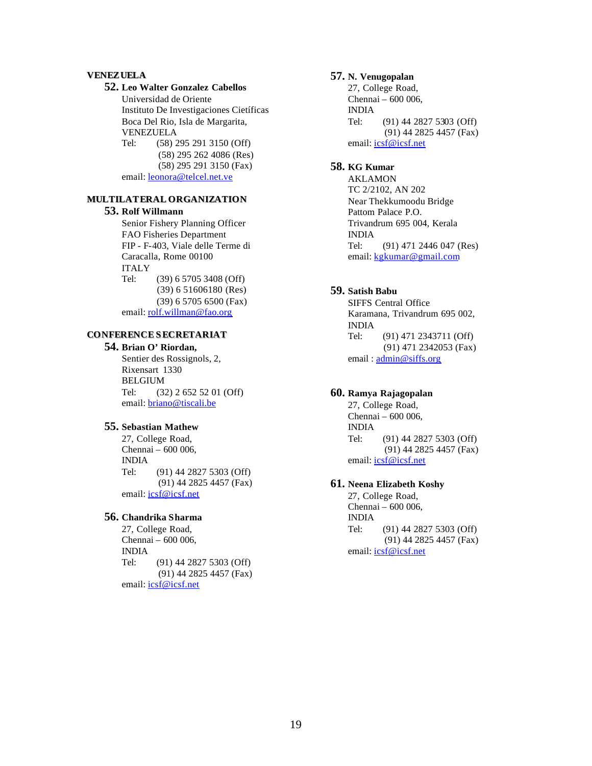#### **VENEZUELA**

#### **52. Leo Walter Gonzalez Cabellos**

Universidad de Oriente Instituto De Investigaciones Cietíficas Boca Del Rio, Isla de Margarita, VENEZUELA Tel: (58) 295 291 3150 (Off)

 (58) 295 262 4086 (Res) (58) 295 291 3150 (Fax) email: leonora@telcel.net.ve

#### **MULTILATERAL ORGANIZATION**

#### **53. Rolf Willmann**

Senior Fishery Planning Officer FAO Fisheries Department FIP - F-403, Viale delle Terme di Caracalla, Rome 00100 ITALY Tel: (39) 6 5705 3408 (Off) (39) 6 51606180 (Res) (39) 6 5705 6500 (Fax) email: rolf.willman@fao.org

#### **CONFERENCE SECRETARIAT**

#### **54. Brian O' Riordan,**

Sentier des Rossignols, 2, Rixensart 1330 BELGIUM Tel: (32) 2 652 52 01 (Off) email: briano@tiscali.be

#### **55. Sebastian Mathew**

27, College Road, Chennai – 600 006, INDIA Tel: (91) 44 2827 5303 (Off) (91) 44 2825 4457 (Fax) email: icsf@icsf.net

#### **56. Chandrika Sharma**

27, College Road, Chennai – 600 006, INDIA Tel: (91) 44 2827 5303 (Off) (91) 44 2825 4457 (Fax) email: icsf@icsf.net

#### **57. N. Venugopalan**

27, College Road, Chennai – 600 006, INDIA Tel: (91) 44 2827 5303 (Off) (91) 44 2825 4457 (Fax) email: **icsf@icsf.net** 

#### **58. KG Kumar**

AKLAMON TC 2/2102, AN 202 Near Thekkumoodu Bridge Pattom Palace P.O. Trivandrum 695 004, Kerala INDIA Tel: (91) 471 2446 047 (Res) email: kgkumar@gmail.com

#### **59. Satish Babu**

SIFFS Central Office Karamana, Trivandrum 695 002, INDIA Tel: (91) 471 2343711 (Off) (91) 471 2342053 (Fax) email:  $\frac{\text{admin@siffs.org}}{}$ 

### **60. Ramya Rajagopalan**

27, College Road, Chennai – 600 006, INDIA Tel: (91) 44 2827 5303 (Off) (91) 44 2825 4457 (Fax) email: **icsf@icsf.net** 

#### **61. Neena Elizabeth Koshy**

27, College Road, Chennai – 600 006, INDIA Tel: (91) 44 2827 5303 (Off) (91) 44 2825 4457 (Fax) email: icsf@icsf.net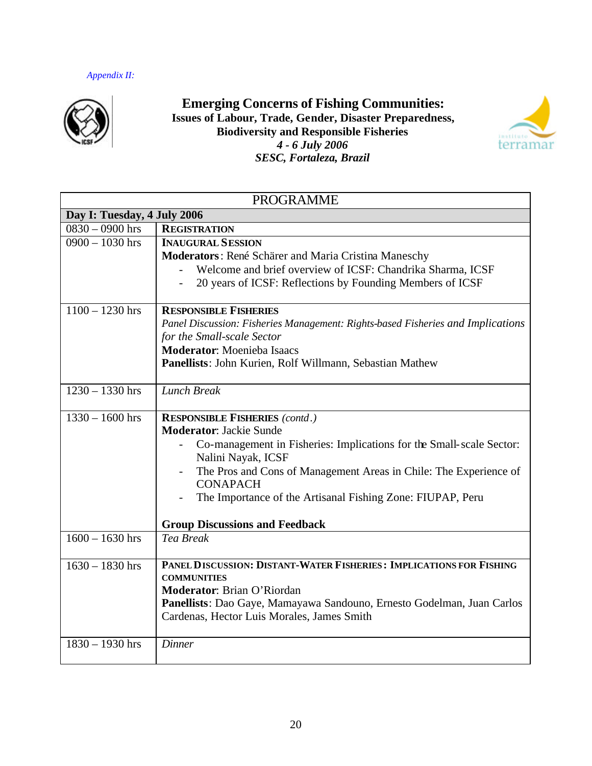

**Emerging Concerns of Fishing Communities: Issues of Labour, Trade, Gender, Disaster Preparedness, Biodiversity and Responsible Fisheries** *4 - 6 July 2006 SESC, Fortaleza, Brazil*



| <b>PROGRAMME</b>            |                                                                                            |  |  |
|-----------------------------|--------------------------------------------------------------------------------------------|--|--|
| Day I: Tuesday, 4 July 2006 |                                                                                            |  |  |
| $0830 - 0900$ hrs           | <b>REGISTRATION</b>                                                                        |  |  |
| $0900 - 1030$ hrs           | <b>INAUGURAL SESSION</b>                                                                   |  |  |
|                             | Moderators: René Schärer and Maria Cristina Maneschy                                       |  |  |
|                             | Welcome and brief overview of ICSF: Chandrika Sharma, ICSF                                 |  |  |
|                             | 20 years of ICSF: Reflections by Founding Members of ICSF                                  |  |  |
|                             |                                                                                            |  |  |
| $1100 - 1230$ hrs           | <b>RESPONSIBLE FISHERIES</b>                                                               |  |  |
|                             | Panel Discussion: Fisheries Management: Rights-based Fisheries and Implications            |  |  |
|                             | for the Small-scale Sector                                                                 |  |  |
|                             | <b>Moderator:</b> Moenieba Isaacs                                                          |  |  |
|                             | Panellists: John Kurien, Rolf Willmann, Sebastian Mathew                                   |  |  |
|                             |                                                                                            |  |  |
| $1230 - 1330$ hrs           | <b>Lunch Break</b>                                                                         |  |  |
|                             |                                                                                            |  |  |
| $1330 - 1600$ hrs           | <b>RESPONSIBLE FISHERIES (contd.)</b>                                                      |  |  |
|                             | <b>Moderator: Jackie Sunde</b>                                                             |  |  |
|                             | Co-management in Fisheries: Implications for the Small-scale Sector:<br>Nalini Nayak, ICSF |  |  |
|                             | The Pros and Cons of Management Areas in Chile: The Experience of                          |  |  |
|                             | <b>CONAPACH</b>                                                                            |  |  |
|                             | The Importance of the Artisanal Fishing Zone: FIUPAP, Peru                                 |  |  |
|                             | <b>Group Discussions and Feedback</b>                                                      |  |  |
| $1600 - 1630$ hrs           | Tea Break                                                                                  |  |  |
|                             |                                                                                            |  |  |
| $1630 - 1830$ hrs           | PANEL DISCUSSION: DISTANT-WATER FISHERIES: IMPLICATIONS FOR FISHING                        |  |  |
|                             | <b>COMMUNITIES</b>                                                                         |  |  |
|                             | Moderator: Brian O'Riordan                                                                 |  |  |
|                             | Panellists: Dao Gaye, Mamayawa Sandouno, Ernesto Godelman, Juan Carlos                     |  |  |
|                             | Cardenas, Hector Luis Morales, James Smith                                                 |  |  |
| $1830 - 1930$ hrs           | Dinner                                                                                     |  |  |
|                             |                                                                                            |  |  |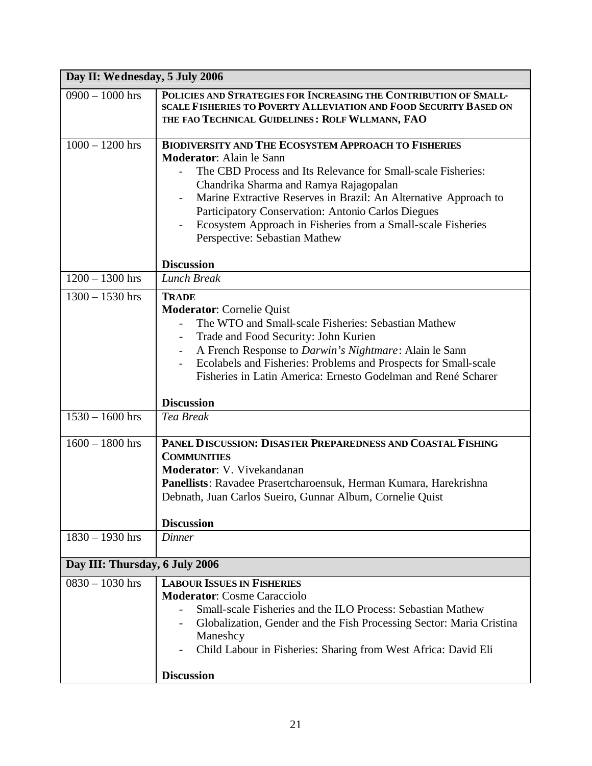| Day II: We dnesday, 5 July 2006 |                                                                                                                                                                                                                                                                                                                                                                                                                                     |  |
|---------------------------------|-------------------------------------------------------------------------------------------------------------------------------------------------------------------------------------------------------------------------------------------------------------------------------------------------------------------------------------------------------------------------------------------------------------------------------------|--|
| $0900 - 1000$ hrs               | POLICIES AND STRATEGIES FOR INCREASING THE CONTRIBUTION OF SMALL-<br><b>SCALE FISHERIES TO POVERTY ALLEVIATION AND FOOD SECURITY BASED ON</b><br>THE FAO TECHNICAL GUIDELINES: ROLF WLLMANN, FAO                                                                                                                                                                                                                                    |  |
| $1000 - 1200$ hrs               | <b>BIODIVERSITY AND THE ECOSYSTEM APPROACH TO FISHERIES</b><br><b>Moderator:</b> Alain le Sann<br>The CBD Process and Its Relevance for Small-scale Fisheries:<br>Chandrika Sharma and Ramya Rajagopalan<br>Marine Extractive Reserves in Brazil: An Alternative Approach to<br>Participatory Conservation: Antonio Carlos Diegues<br>Ecosystem Approach in Fisheries from a Small-scale Fisheries<br>Perspective: Sebastian Mathew |  |
| $1200 - 1300$ hrs               | <b>Discussion</b><br><b>Lunch Break</b>                                                                                                                                                                                                                                                                                                                                                                                             |  |
| $1300 - 1530$ hrs               | <b>TRADE</b><br><b>Moderator:</b> Cornelie Quist<br>The WTO and Small-scale Fisheries: Sebastian Mathew<br>Trade and Food Security: John Kurien<br>A French Response to Darwin's Nightmare: Alain le Sann<br>Ecolabels and Fisheries: Problems and Prospects for Small-scale<br>Fisheries in Latin America: Ernesto Godelman and René Scharer<br><b>Discussion</b>                                                                  |  |
| $1530 - 1600$ hrs               | <b>Tea Break</b>                                                                                                                                                                                                                                                                                                                                                                                                                    |  |
| $1600 - 1800$ hrs               | PANEL DISCUSSION: DISASTER PREPAREDNESS AND COASTAL FISHING<br><b>COMMUNITIES</b><br>Moderator: V. Vivekandanan<br>Panellists: Ravadee Prasertcharoensuk, Herman Kumara, Harekrishna<br>Debnath, Juan Carlos Sueiro, Gunnar Album, Cornelie Quist<br><b>Discussion</b>                                                                                                                                                              |  |
| $1830 - 1930$ hrs               | <b>Dinner</b>                                                                                                                                                                                                                                                                                                                                                                                                                       |  |
| Day III: Thursday, 6 July 2006  |                                                                                                                                                                                                                                                                                                                                                                                                                                     |  |
| $0830 - 1030$ hrs               | <b>LABOUR ISSUES IN FISHERIES</b><br><b>Moderator: Cosme Caracciolo</b><br>Small-scale Fisheries and the ILO Process: Sebastian Mathew<br>Globalization, Gender and the Fish Processing Sector: Maria Cristina<br>Maneshcy<br>Child Labour in Fisheries: Sharing from West Africa: David Eli<br><b>Discussion</b>                                                                                                                   |  |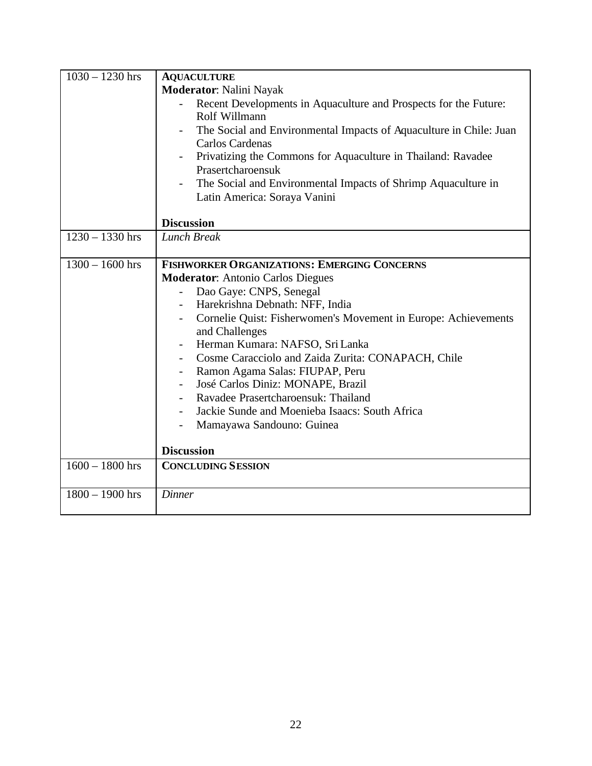| $1030 - 1230$ hrs | <b>AQUACULTURE</b>                                                 |
|-------------------|--------------------------------------------------------------------|
|                   | <b>Moderator: Nalini Nayak</b>                                     |
|                   | Recent Developments in Aquaculture and Prospects for the Future:   |
|                   | Rolf Willmann                                                      |
|                   | The Social and Environmental Impacts of Aquaculture in Chile: Juan |
|                   | Carlos Cardenas                                                    |
|                   | Privatizing the Commons for Aquaculture in Thailand: Ravadee       |
|                   | Prasertcharoensuk                                                  |
|                   | The Social and Environmental Impacts of Shrimp Aquaculture in      |
|                   | Latin America: Soraya Vanini                                       |
|                   |                                                                    |
| $1230 - 1330$ hrs | <b>Discussion</b><br><b>Lunch Break</b>                            |
|                   |                                                                    |
| $1300 - 1600$ hrs | <b>FISHWORKER ORGANIZATIONS: EMERGING CONCERNS</b>                 |
|                   | <b>Moderator:</b> Antonio Carlos Diegues                           |
|                   | Dao Gaye: CNPS, Senegal                                            |
|                   | Harekrishna Debnath: NFF, India                                    |
|                   | Cornelie Quist: Fisherwomen's Movement in Europe: Achievements     |
|                   | and Challenges                                                     |
|                   | Herman Kumara: NAFSO, Sri Lanka<br>$\overline{\phantom{a}}$        |
|                   | Cosme Caracciolo and Zaida Zurita: CONAPACH, Chile                 |
|                   | Ramon Agama Salas: FIUPAP, Peru                                    |
|                   | José Carlos Diniz: MONAPE, Brazil<br>$\overline{\phantom{a}}$      |
|                   | Ravadee Prasertcharoensuk: Thailand<br>$\overline{\phantom{a}}$    |
|                   | Jackie Sunde and Moenieba Isaacs: South Africa                     |
|                   | Mamayawa Sandouno: Guinea                                          |
|                   |                                                                    |
|                   | <b>Discussion</b>                                                  |
| $1600 - 1800$ hrs | <b>CONCLUDING SESSION</b>                                          |
|                   |                                                                    |
| $1800 - 1900$ hrs | <b>Dinner</b>                                                      |
|                   |                                                                    |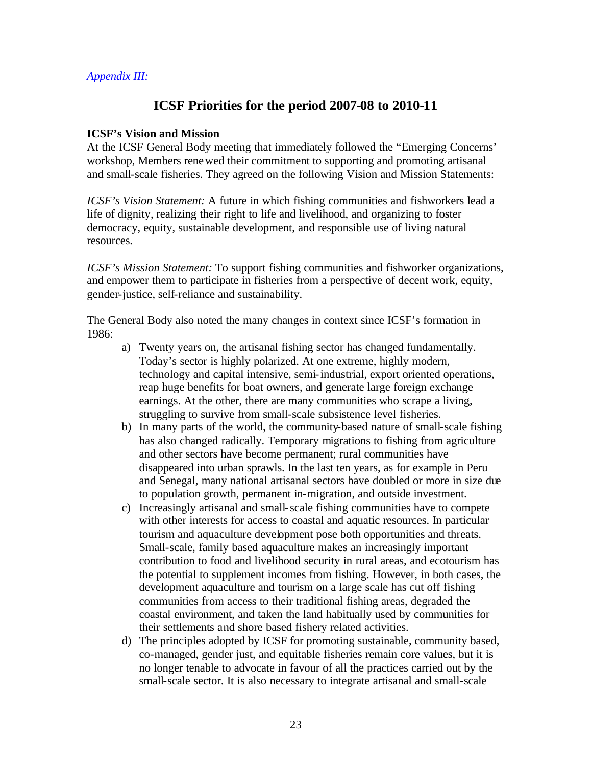## *Appendix III:*

# **ICSF Priorities for the period 2007-08 to 2010-11**

## **ICSF's Vision and Mission**

At the ICSF General Body meeting that immediately followed the "Emerging Concerns' workshop, Members renewed their commitment to supporting and promoting artisanal and small-scale fisheries. They agreed on the following Vision and Mission Statements:

*ICSF's Vision Statement:* A future in which fishing communities and fishworkers lead a life of dignity, realizing their right to life and livelihood, and organizing to foster democracy, equity, sustainable development, and responsible use of living natural resources.

*ICSF's Mission Statement:* To support fishing communities and fishworker organizations, and empower them to participate in fisheries from a perspective of decent work, equity, gender-justice, self-reliance and sustainability.

The General Body also noted the many changes in context since ICSF's formation in 1986:

- a) Twenty years on, the artisanal fishing sector has changed fundamentally. Today's sector is highly polarized. At one extreme, highly modern, technology and capital intensive, semi-industrial, export oriented operations, reap huge benefits for boat owners, and generate large foreign exchange earnings. At the other, there are many communities who scrape a living, struggling to survive from small-scale subsistence level fisheries.
- b) In many parts of the world, the community-based nature of small-scale fishing has also changed radically. Temporary migrations to fishing from agriculture and other sectors have become permanent; rural communities have disappeared into urban sprawls. In the last ten years, as for example in Peru and Senegal, many national artisanal sectors have doubled or more in size due to population growth, permanent in-migration, and outside investment.
- c) Increasingly artisanal and small-scale fishing communities have to compete with other interests for access to coastal and aquatic resources. In particular tourism and aquaculture development pose both opportunities and threats. Small-scale, family based aquaculture makes an increasingly important contribution to food and livelihood security in rural areas, and ecotourism has the potential to supplement incomes from fishing. However, in both cases, the development aquaculture and tourism on a large scale has cut off fishing communities from access to their traditional fishing areas, degraded the coastal environment, and taken the land habitually used by communities for their settlements and shore based fishery related activities.
- d) The principles adopted by ICSF for promoting sustainable, community based, co-managed, gender just, and equitable fisheries remain core values, but it is no longer tenable to advocate in favour of all the practices carried out by the small-scale sector. It is also necessary to integrate artisanal and small-scale